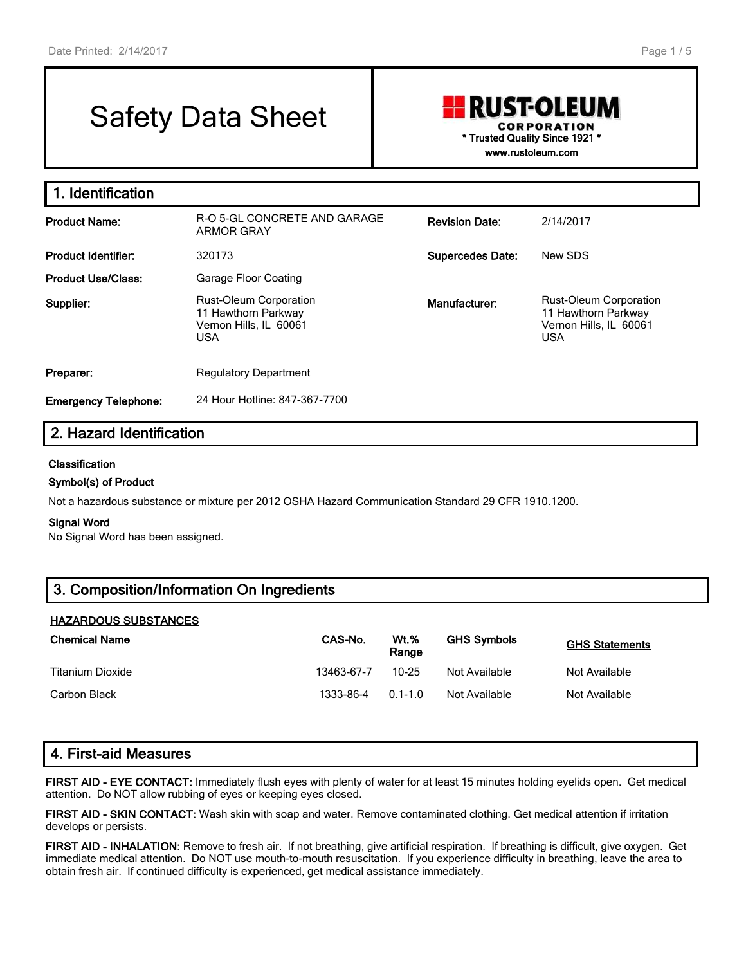# Safety Data Sheet

# RUSTOLEUM **CORPORATION \* Trusted Quality Since 1921 \***

**www.rustoleum.com**

| 1. Identification           |                                                                                       |                         |                                                                                              |  |  |  |  |
|-----------------------------|---------------------------------------------------------------------------------------|-------------------------|----------------------------------------------------------------------------------------------|--|--|--|--|
| <b>Product Name:</b>        | R-O 5-GL CONCRETE AND GARAGE<br><b>ARMOR GRAY</b>                                     | <b>Revision Date:</b>   | 2/14/2017                                                                                    |  |  |  |  |
| <b>Product Identifier:</b>  | 320173                                                                                | <b>Supercedes Date:</b> | New SDS                                                                                      |  |  |  |  |
| <b>Product Use/Class:</b>   | Garage Floor Coating                                                                  |                         |                                                                                              |  |  |  |  |
| Supplier:                   | Rust-Oleum Corporation<br>11 Hawthorn Parkway<br>Vernon Hills, IL 60061<br><b>USA</b> | Manufacturer:           | <b>Rust-Oleum Corporation</b><br>11 Hawthorn Parkway<br>Vernon Hills, IL 60061<br><b>USA</b> |  |  |  |  |
| Preparer:                   | <b>Regulatory Department</b>                                                          |                         |                                                                                              |  |  |  |  |
| <b>Emergency Telephone:</b> | 24 Hour Hotline: 847-367-7700                                                         |                         |                                                                                              |  |  |  |  |

# **2. Hazard Identification**

#### **Classification**

#### **Symbol(s) of Product**

Not a hazardous substance or mixture per 2012 OSHA Hazard Communication Standard 29 CFR 1910.1200.

#### **Signal Word**

No Signal Word has been assigned.

## **3. Composition/Information On Ingredients**

#### **HAZARDOUS SUBSTANCES**

| <b>Chemical Name</b> | CAS-No.    | <b>Wt.%</b><br>Range | <b>GHS Symbols</b> | <b>GHS Statements</b> |
|----------------------|------------|----------------------|--------------------|-----------------------|
| Titanium Dioxide     | 13463-67-7 | $10 - 25$            | Not Available      | Not Available         |
| Carbon Black         | 1333-86-4  | $01-10$              | Not Available      | Not Available         |

## **4. First-aid Measures**

**FIRST AID - EYE CONTACT:** Immediately flush eyes with plenty of water for at least 15 minutes holding eyelids open. Get medical attention. Do NOT allow rubbing of eyes or keeping eyes closed.

**FIRST AID - SKIN CONTACT:** Wash skin with soap and water. Remove contaminated clothing. Get medical attention if irritation develops or persists.

**FIRST AID - INHALATION:** Remove to fresh air. If not breathing, give artificial respiration. If breathing is difficult, give oxygen. Get immediate medical attention. Do NOT use mouth-to-mouth resuscitation. If you experience difficulty in breathing, leave the area to obtain fresh air. If continued difficulty is experienced, get medical assistance immediately.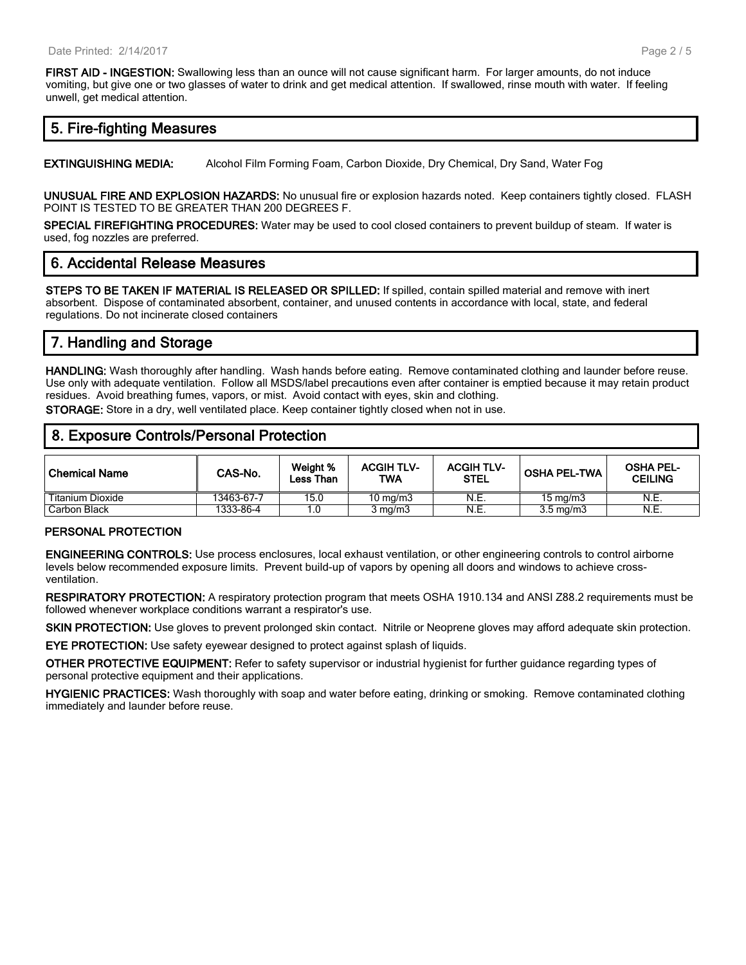**FIRST AID - INGESTION:** Swallowing less than an ounce will not cause significant harm. For larger amounts, do not induce vomiting, but give one or two glasses of water to drink and get medical attention. If swallowed, rinse mouth with water. If feeling unwell, get medical attention.

## **5. Fire-fighting Measures**

**EXTINGUISHING MEDIA:** Alcohol Film Forming Foam, Carbon Dioxide, Dry Chemical, Dry Sand, Water Fog

**UNUSUAL FIRE AND EXPLOSION HAZARDS:** No unusual fire or explosion hazards noted. Keep containers tightly closed. FLASH POINT IS TESTED TO BE GREATER THAN 200 DEGREES F.

**SPECIAL FIREFIGHTING PROCEDURES:** Water may be used to cool closed containers to prevent buildup of steam. If water is used, fog nozzles are preferred.

## **6. Accidental Release Measures**

**STEPS TO BE TAKEN IF MATERIAL IS RELEASED OR SPILLED:** If spilled, contain spilled material and remove with inert absorbent. Dispose of contaminated absorbent, container, and unused contents in accordance with local, state, and federal regulations. Do not incinerate closed containers

# **7. Handling and Storage**

**HANDLING:** Wash thoroughly after handling. Wash hands before eating. Remove contaminated clothing and launder before reuse. Use only with adequate ventilation. Follow all MSDS/label precautions even after container is emptied because it may retain product residues. Avoid breathing fumes, vapors, or mist. Avoid contact with eyes, skin and clothing.

**STORAGE:** Store in a dry, well ventilated place. Keep container tightly closed when not in use.

### **8. Exposure Controls/Personal Protection**

| l Chemical Name  | CAS-No.    | Weight %<br>Less Than | <b>ACGIHTLV-</b><br>TWA | <b>ACGIH TLV-</b><br><b>STEL</b> | <b>OSHA PEL-TWA</b> | <b>OSHA PEL-</b><br><b>CEILING</b> |
|------------------|------------|-----------------------|-------------------------|----------------------------------|---------------------|------------------------------------|
| Titanium Dioxide | 13463-67-7 | 15.0                  | 10 $mq/m3$              | N.E.                             | $15 \text{ mg/m}$   | N.E.                               |
| Carbon Black     | 1333-86-4  |                       | $3 \text{ mg/m}$        | N.E.                             | $3.5 \text{ ma/m}$  | N.E.                               |

#### **PERSONAL PROTECTION**

**ENGINEERING CONTROLS:** Use process enclosures, local exhaust ventilation, or other engineering controls to control airborne levels below recommended exposure limits. Prevent build-up of vapors by opening all doors and windows to achieve crossventilation.

**RESPIRATORY PROTECTION:** A respiratory protection program that meets OSHA 1910.134 and ANSI Z88.2 requirements must be followed whenever workplace conditions warrant a respirator's use.

**SKIN PROTECTION:** Use gloves to prevent prolonged skin contact. Nitrile or Neoprene gloves may afford adequate skin protection.

**EYE PROTECTION:** Use safety eyewear designed to protect against splash of liquids.

**OTHER PROTECTIVE EQUIPMENT:** Refer to safety supervisor or industrial hygienist for further guidance regarding types of personal protective equipment and their applications.

**HYGIENIC PRACTICES:** Wash thoroughly with soap and water before eating, drinking or smoking. Remove contaminated clothing immediately and launder before reuse.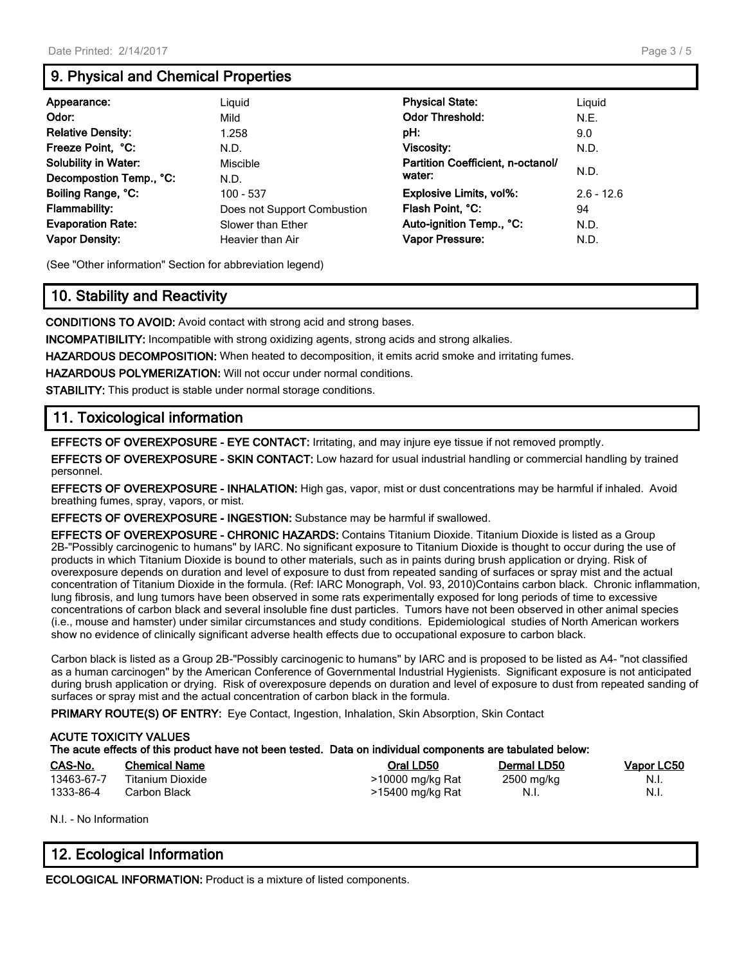# **9. Physical and Chemical Properties**

| Appearance:                 | Liguid                      | <b>Physical State:</b>            | Liguid       |
|-----------------------------|-----------------------------|-----------------------------------|--------------|
| Odor:                       | Mild                        | <b>Odor Threshold:</b>            | N.E.         |
| <b>Relative Density:</b>    | 1.258                       | pH:                               | 9.0          |
| Freeze Point, °C:           | N.D.                        | Viscosity:                        | N.D.         |
| <b>Solubility in Water:</b> | Miscible                    | Partition Coefficient, n-octanol/ | N.D.         |
| Decompostion Temp., °C:     | N.D.                        | water:                            |              |
| Boiling Range, °C:          | 100 - 537                   | <b>Explosive Limits, vol%:</b>    | $2.6 - 12.6$ |
| <b>Flammability:</b>        | Does not Support Combustion | Flash Point, °C:                  | 94           |
| <b>Evaporation Rate:</b>    | Slower than Ether           | Auto-ignition Temp., °C:          | N.D.         |
| <b>Vapor Density:</b>       | Heavier than Air            | Vapor Pressure:                   | N.D.         |

(See "Other information" Section for abbreviation legend)

# **10. Stability and Reactivity**

**CONDITIONS TO AVOID:** Avoid contact with strong acid and strong bases.

**INCOMPATIBILITY:** Incompatible with strong oxidizing agents, strong acids and strong alkalies.

**HAZARDOUS DECOMPOSITION:** When heated to decomposition, it emits acrid smoke and irritating fumes.

**HAZARDOUS POLYMERIZATION:** Will not occur under normal conditions.

**STABILITY:** This product is stable under normal storage conditions.

# **11. Toxicological information**

**EFFECTS OF OVEREXPOSURE - EYE CONTACT:** Irritating, and may injure eye tissue if not removed promptly.

**EFFECTS OF OVEREXPOSURE - SKIN CONTACT:** Low hazard for usual industrial handling or commercial handling by trained personnel.

**EFFECTS OF OVEREXPOSURE - INHALATION:** High gas, vapor, mist or dust concentrations may be harmful if inhaled. Avoid breathing fumes, spray, vapors, or mist.

**EFFECTS OF OVEREXPOSURE - INGESTION:** Substance may be harmful if swallowed.

**EFFECTS OF OVEREXPOSURE - CHRONIC HAZARDS:** Contains Titanium Dioxide. Titanium Dioxide is listed as a Group 2B-"Possibly carcinogenic to humans" by IARC. No significant exposure to Titanium Dioxide is thought to occur during the use of products in which Titanium Dioxide is bound to other materials, such as in paints during brush application or drying. Risk of overexposure depends on duration and level of exposure to dust from repeated sanding of surfaces or spray mist and the actual concentration of Titanium Dioxide in the formula. (Ref: IARC Monograph, Vol. 93, 2010)Contains carbon black. Chronic inflammation, lung fibrosis, and lung tumors have been observed in some rats experimentally exposed for long periods of time to excessive concentrations of carbon black and several insoluble fine dust particles. Tumors have not been observed in other animal species (i.e., mouse and hamster) under similar circumstances and study conditions. Epidemiological studies of North American workers show no evidence of clinically significant adverse health effects due to occupational exposure to carbon black.

Carbon black is listed as a Group 2B-"Possibly carcinogenic to humans" by IARC and is proposed to be listed as A4- "not classified as a human carcinogen" by the American Conference of Governmental Industrial Hygienists. Significant exposure is not anticipated during brush application or drying. Risk of overexposure depends on duration and level of exposure to dust from repeated sanding of surfaces or spray mist and the actual concentration of carbon black in the formula.

**PRIMARY ROUTE(S) OF ENTRY:** Eye Contact, Ingestion, Inhalation, Skin Absorption, Skin Contact

| <b>ACUTE TOXICITY VALUES</b><br>The acute effects of this product have not been tested. Data on individual components are tabulated below: |                      |                  |             |            |  |
|--------------------------------------------------------------------------------------------------------------------------------------------|----------------------|------------------|-------------|------------|--|
| CAS-No.                                                                                                                                    | <b>Chemical Name</b> | Oral LD50        | Dermal LD50 | Vapor LC50 |  |
| 13463-67-7                                                                                                                                 | Titanium Dioxide     | >10000 mg/kg Rat | 2500 mg/kg  | N.I.       |  |
| 1333-86-4                                                                                                                                  | Carbon Black         | >15400 mg/kg Rat | N.I.        | N.I.       |  |

N.I. - No Information

# **12. Ecological Information**

**ECOLOGICAL INFORMATION:** Product is a mixture of listed components.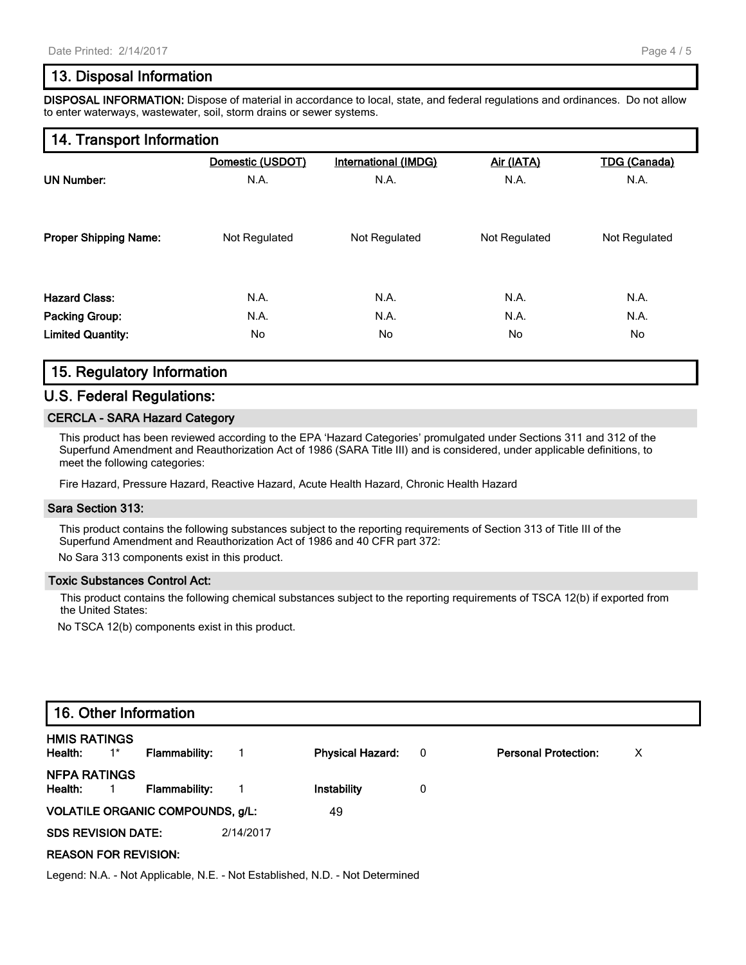## **13. Disposal Information**

**DISPOSAL INFORMATION:** Dispose of material in accordance to local, state, and federal regulations and ordinances. Do not allow to enter waterways, wastewater, soil, storm drains or sewer systems.

## **14. Transport Information**

|                              | Domestic (USDOT) | International (IMDG) | Air (IATA)    | <b>TDG (Canada)</b> |
|------------------------------|------------------|----------------------|---------------|---------------------|
| <b>UN Number:</b>            | N.A.             | N.A.                 | N.A.          | N.A.                |
| <b>Proper Shipping Name:</b> | Not Regulated    | Not Regulated        | Not Regulated | Not Regulated       |
| <b>Hazard Class:</b>         | N.A.             | N.A.                 | N.A.          | N.A.                |
| <b>Packing Group:</b>        | N.A.             | N.A.                 | N.A.          | N.A.                |
| <b>Limited Quantity:</b>     | No               | No                   | No            | No                  |

## **15. Regulatory Information**

## **U.S. Federal Regulations:**

#### **CERCLA - SARA Hazard Category**

This product has been reviewed according to the EPA 'Hazard Categories' promulgated under Sections 311 and 312 of the Superfund Amendment and Reauthorization Act of 1986 (SARA Title III) and is considered, under applicable definitions, to meet the following categories:

Fire Hazard, Pressure Hazard, Reactive Hazard, Acute Health Hazard, Chronic Health Hazard

#### **Sara Section 313:**

This product contains the following substances subject to the reporting requirements of Section 313 of Title III of the Superfund Amendment and Reauthorization Act of 1986 and 40 CFR part 372:

No Sara 313 components exist in this product.

#### **Toxic Substances Control Act:**

This product contains the following chemical substances subject to the reporting requirements of TSCA 12(b) if exported from the United States:

No TSCA 12(b) components exist in this product.

| 16. Other Information                              |                      |           |                         |                         |                             |   |  |
|----------------------------------------------------|----------------------|-----------|-------------------------|-------------------------|-----------------------------|---|--|
| <b>HMIS RATINGS</b><br>Health:<br>$\overline{1}^*$ | <b>Flammability:</b> |           | <b>Physical Hazard:</b> | $\overline{\mathbf{0}}$ | <b>Personal Protection:</b> | х |  |
| <b>NFPA RATINGS</b><br>Health:<br>$\blacksquare$ 1 | <b>Flammability:</b> |           | Instability             | 0                       |                             |   |  |
| <b>VOLATILE ORGANIC COMPOUNDS, g/L:</b>            |                      |           | 49                      |                         |                             |   |  |
| <b>SDS REVISION DATE:</b>                          |                      | 2/14/2017 |                         |                         |                             |   |  |
| <b>REASON FOR REVISION:</b>                        |                      |           |                         |                         |                             |   |  |

Legend: N.A. - Not Applicable, N.E. - Not Established, N.D. - Not Determined